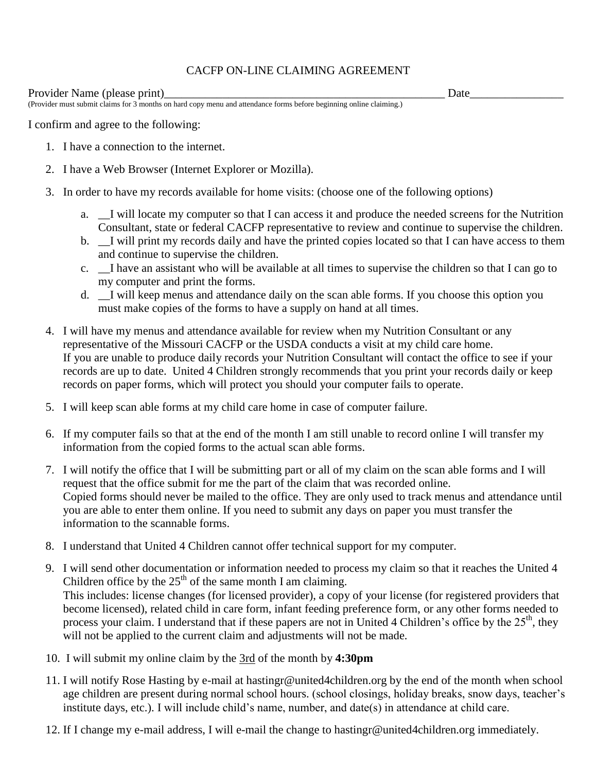## CACFP ON-LINE CLAIMING AGREEMENT

Provider Name (please print)\_\_\_\_\_\_\_\_\_\_\_\_\_\_\_\_\_\_\_\_\_\_\_\_\_\_\_\_\_\_\_\_\_\_\_\_\_\_\_\_\_\_\_\_\_\_\_\_ Date\_\_\_\_\_\_\_\_\_\_\_\_\_\_\_\_

(Provider must submit claims for 3 months on hard copy menu and attendance forms before beginning online claiming.)

I confirm and agree to the following:

- 1. I have a connection to the internet.
- 2. I have a Web Browser (Internet Explorer or Mozilla).
- 3. In order to have my records available for home visits: (choose one of the following options)
	- a. \_\_I will locate my computer so that I can access it and produce the needed screens for the Nutrition Consultant, state or federal CACFP representative to review and continue to supervise the children.
	- b. \_\_I will print my records daily and have the printed copies located so that I can have access to them and continue to supervise the children.
	- c. \_\_I have an assistant who will be available at all times to supervise the children so that I can go to my computer and print the forms.
	- d. \_\_I will keep menus and attendance daily on the scan able forms. If you choose this option you must make copies of the forms to have a supply on hand at all times.
- 4. I will have my menus and attendance available for review when my Nutrition Consultant or any representative of the Missouri CACFP or the USDA conducts a visit at my child care home. If you are unable to produce daily records your Nutrition Consultant will contact the office to see if your records are up to date. United 4 Children strongly recommends that you print your records daily or keep records on paper forms, which will protect you should your computer fails to operate.
- 5. I will keep scan able forms at my child care home in case of computer failure.
- 6. If my computer fails so that at the end of the month I am still unable to record online I will transfer my information from the copied forms to the actual scan able forms.
- 7. I will notify the office that I will be submitting part or all of my claim on the scan able forms and I will request that the office submit for me the part of the claim that was recorded online. Copied forms should never be mailed to the office. They are only used to track menus and attendance until you are able to enter them online. If you need to submit any days on paper you must transfer the information to the scannable forms.
- 8. I understand that United 4 Children cannot offer technical support for my computer.
- 9. I will send other documentation or information needed to process my claim so that it reaches the United 4 Children office by the  $25<sup>th</sup>$  of the same month I am claiming. This includes: license changes (for licensed provider), a copy of your license (for registered providers that become licensed), related child in care form, infant feeding preference form, or any other forms needed to process your claim. I understand that if these papers are not in United 4 Children's office by the 25<sup>th</sup>, they will not be applied to the current claim and adjustments will not be made.
- 10. I will submit my online claim by the 3rd of the month by **4:30pm**
- 11. I will notify Rose Hasting by e-mail at hastingr@united4children.org by the end of the month when school age children are present during normal school hours. (school closings, holiday breaks, snow days, teacher's institute days, etc.). I will include child's name, number, and date(s) in attendance at child care.
- 12. If I change my e-mail address, I will e-mail the change to hastingr@united4children.org immediately.